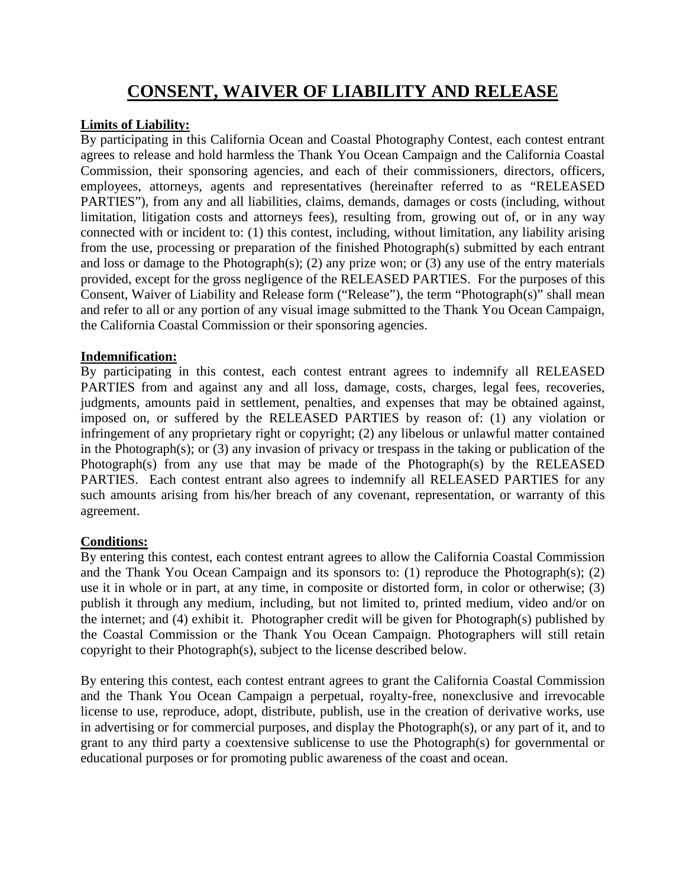# **CONSENT, WAIVER OF LIABILITY AND RELEASE**

# **Limits of Liability:**

By participating in this California Ocean and Coastal Photography Contest, each contest entrant agrees to release and hold harmless the Thank You Ocean Campaign and the California Coastal Commission, their sponsoring agencies, and each of their commissioners, directors, officers, employees, attorneys, agents and representatives (hereinafter referred to as "RELEASED PARTIES"), from any and all liabilities, claims, demands, damages or costs (including, without limitation, litigation costs and attorneys fees), resulting from, growing out of, or in any way connected with or incident to: (1) this contest, including, without limitation, any liability arising from the use, processing or preparation of the finished Photograph(s) submitted by each entrant and loss or damage to the Photograph(s); (2) any prize won; or (3) any use of the entry materials provided, except for the gross negligence of the RELEASED PARTIES. For the purposes of this Consent, Waiver of Liability and Release form ("Release"), the term "Photograph(s)" shall mean and refer to all or any portion of any visual image submitted to the Thank You Ocean Campaign, the California Coastal Commission or their sponsoring agencies.

# **Indemnification:**

By participating in this contest, each contest entrant agrees to indemnify all RELEASED PARTIES from and against any and all loss, damage, costs, charges, legal fees, recoveries, judgments, amounts paid in settlement, penalties, and expenses that may be obtained against, imposed on, or suffered by the RELEASED PARTIES by reason of: (1) any violation or infringement of any proprietary right or copyright; (2) any libelous or unlawful matter contained in the Photograph(s); or (3) any invasion of privacy or trespass in the taking or publication of the Photograph(s) from any use that may be made of the Photograph(s) by the RELEASED PARTIES. Each contest entrant also agrees to indemnify all RELEASED PARTIES for any such amounts arising from his/her breach of any covenant, representation, or warranty of this agreement.

# **Conditions:**

By entering this contest, each contest entrant agrees to allow the California Coastal Commission and the Thank You Ocean Campaign and its sponsors to: (1) reproduce the Photograph(s); (2) use it in whole or in part, at any time, in composite or distorted form, in color or otherwise; (3) publish it through any medium, including, but not limited to, printed medium, video and/or on the internet; and (4) exhibit it. Photographer credit will be given for Photograph(s) published by the Coastal Commission or the Thank You Ocean Campaign. Photographers will still retain copyright to their Photograph(s), subject to the license described below.

By entering this contest, each contest entrant agrees to grant the California Coastal Commission and the Thank You Ocean Campaign a perpetual, royalty-free, nonexclusive and irrevocable license to use, reproduce, adopt, distribute, publish, use in the creation of derivative works, use in advertising or for commercial purposes, and display the Photograph(s), or any part of it, and to grant to any third party a coextensive sublicense to use the Photograph(s) for governmental or educational purposes or for promoting public awareness of the coast and ocean.